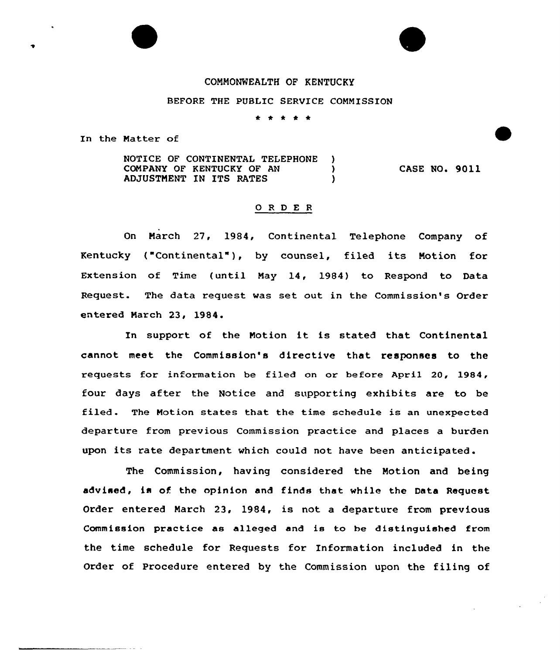## COMMONWEALTH OF KENTUCKY

## BEFORE THE PUBLIC SERUICE COMMISSION

\* \* \* \* \*

In the Matter of

NOTICE OF CONTINENTAL TELEPHONE )<br>COMPANY OF KENTUCKY OF AN () COMPANY OF KENTUCKY OF AN ) ADJUSTMENT IN ITS RATES CASE NO. 9011

## Q R D E R

On March 27, 1984, Continental Telephone Company of Kentucky ("Continental" ), by counsel, filed its Motion for Extension of Time (until May 14, 1984) to Respond to Data Request. The data request was set out in the Commission's Order entered March 23, 1984.

In support of the Motion it is stated that Continental cannot meet the Commission's directive that responses to the requests for information be filed on or before April 20, 1984, four days after the Notice and supporting exhibits are to be filed. The Motion states that the time schedule is an unexpected departure from previous Commission practice and places a burden upon its rate department vhich could not have been anticipated.

The Commission, having considered the Motion and being advised, is of. the opinion and finds that while the Data Request Order entered March 23, 1984, is not a departure from previous Commission practice as alleged and is to he distinguished from the time schedule for Requests for Information included in the Order of Procedure entered by the Commission upon the filing of